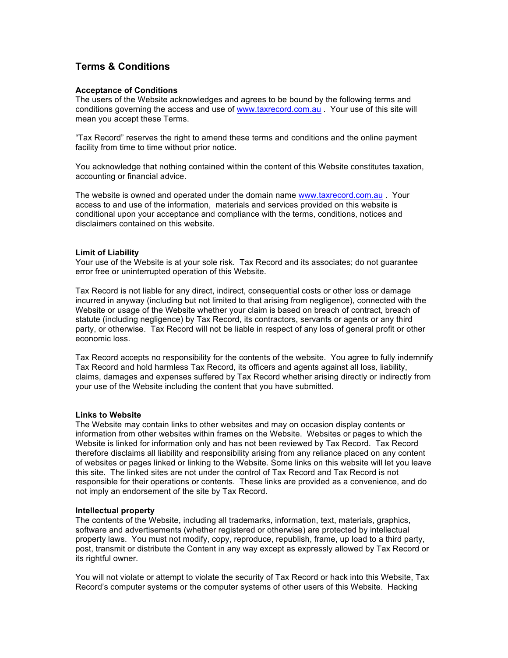# **Terms & Conditions**

## **Acceptance of Conditions**

The users of the Website acknowledges and agrees to be bound by the following terms and conditions governing the access and use of www.taxrecord.com.au . Your use of this site will mean you accept these Terms.

"Tax Record" reserves the right to amend these terms and conditions and the online payment facility from time to time without prior notice.

You acknowledge that nothing contained within the content of this Website constitutes taxation, accounting or financial advice.

The website is owned and operated under the domain name www.taxrecord.com.au . Your access to and use of the information, materials and services provided on this website is conditional upon your acceptance and compliance with the terms, conditions, notices and disclaimers contained on this website.

#### **Limit of Liability**

Your use of the Website is at your sole risk. Tax Record and its associates; do not guarantee error free or uninterrupted operation of this Website.

Tax Record is not liable for any direct, indirect, consequential costs or other loss or damage incurred in anyway (including but not limited to that arising from negligence), connected with the Website or usage of the Website whether your claim is based on breach of contract, breach of statute (including negligence) by Tax Record, its contractors, servants or agents or any third party, or otherwise. Tax Record will not be liable in respect of any loss of general profit or other economic loss.

Tax Record accepts no responsibility for the contents of the website. You agree to fully indemnify Tax Record and hold harmless Tax Record, its officers and agents against all loss, liability, claims, damages and expenses suffered by Tax Record whether arising directly or indirectly from your use of the Website including the content that you have submitted.

#### **Links to Website**

The Website may contain links to other websites and may on occasion display contents or information from other websites within frames on the Website. Websites or pages to which the Website is linked for information only and has not been reviewed by Tax Record. Tax Record therefore disclaims all liability and responsibility arising from any reliance placed on any content of websites or pages linked or linking to the Website. Some links on this website will let you leave this site. The linked sites are not under the control of Tax Record and Tax Record is not responsible for their operations or contents. These links are provided as a convenience, and do not imply an endorsement of the site by Tax Record.

#### **Intellectual property**

The contents of the Website, including all trademarks, information, text, materials, graphics, software and advertisements (whether registered or otherwise) are protected by intellectual property laws. You must not modify, copy, reproduce, republish, frame, up load to a third party, post, transmit or distribute the Content in any way except as expressly allowed by Tax Record or its rightful owner.

You will not violate or attempt to violate the security of Tax Record or hack into this Website, Tax Record's computer systems or the computer systems of other users of this Website. Hacking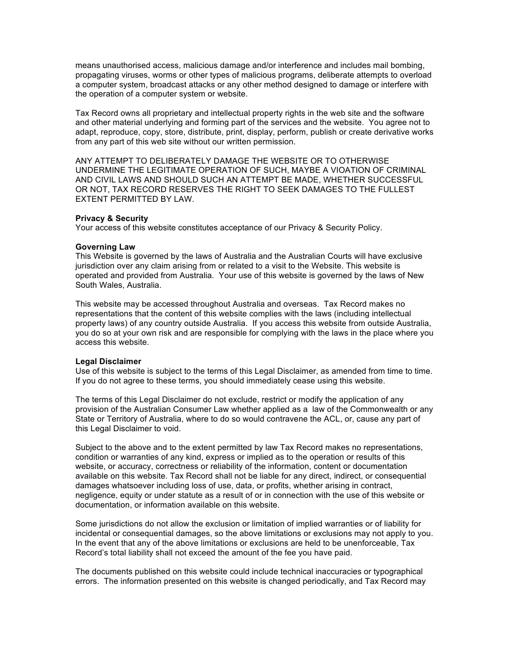means unauthorised access, malicious damage and/or interference and includes mail bombing, propagating viruses, worms or other types of malicious programs, deliberate attempts to overload a computer system, broadcast attacks or any other method designed to damage or interfere with the operation of a computer system or website.

Tax Record owns all proprietary and intellectual property rights in the web site and the software and other material underlying and forming part of the services and the website. You agree not to adapt, reproduce, copy, store, distribute, print, display, perform, publish or create derivative works from any part of this web site without our written permission.

ANY ATTEMPT TO DELIBERATELY DAMAGE THE WEBSITE OR TO OTHERWISE UNDERMINE THE LEGITIMATE OPERATION OF SUCH, MAYBE A VIOATION OF CRIMINAL AND CIVIL LAWS AND SHOULD SUCH AN ATTEMPT BE MADE, WHETHER SUCCESSFUL OR NOT, TAX RECORD RESERVES THE RIGHT TO SEEK DAMAGES TO THE FULLEST EXTENT PERMITTED BY LAW.

#### **Privacy & Security**

Your access of this website constitutes acceptance of our Privacy & Security Policy.

#### **Governing Law**

This Website is governed by the laws of Australia and the Australian Courts will have exclusive jurisdiction over any claim arising from or related to a visit to the Website. This website is operated and provided from Australia. Your use of this website is governed by the laws of New South Wales, Australia.

This website may be accessed throughout Australia and overseas. Tax Record makes no representations that the content of this website complies with the laws (including intellectual property laws) of any country outside Australia. If you access this website from outside Australia, you do so at your own risk and are responsible for complying with the laws in the place where you access this website.

#### **Legal Disclaimer**

Use of this website is subject to the terms of this Legal Disclaimer, as amended from time to time. If you do not agree to these terms, you should immediately cease using this website.

The terms of this Legal Disclaimer do not exclude, restrict or modify the application of any provision of the Australian Consumer Law whether applied as a law of the Commonwealth or any State or Territory of Australia, where to do so would contravene the ACL, or, cause any part of this Legal Disclaimer to void.

Subject to the above and to the extent permitted by law Tax Record makes no representations, condition or warranties of any kind, express or implied as to the operation or results of this website, or accuracy, correctness or reliability of the information, content or documentation available on this website. Tax Record shall not be liable for any direct, indirect, or consequential damages whatsoever including loss of use, data, or profits, whether arising in contract, negligence, equity or under statute as a result of or in connection with the use of this website or documentation, or information available on this website.

Some jurisdictions do not allow the exclusion or limitation of implied warranties or of liability for incidental or consequential damages, so the above limitations or exclusions may not apply to you. In the event that any of the above limitations or exclusions are held to be unenforceable, Tax Record's total liability shall not exceed the amount of the fee you have paid.

The documents published on this website could include technical inaccuracies or typographical errors. The information presented on this website is changed periodically, and Tax Record may